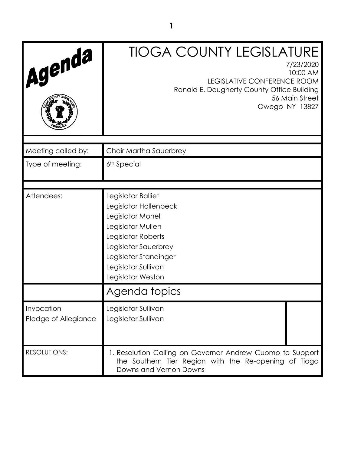| Agenda                             | <b>TIOGA COUNTY LEGISLATURE</b><br>7/23/2020<br>10:00 AM<br>LEGISLATIVE CONFERENCE ROOM<br>Ronald E. Dougherty County Office Building<br>56 Main Street<br>Owego NY 13827                                |
|------------------------------------|----------------------------------------------------------------------------------------------------------------------------------------------------------------------------------------------------------|
| Meeting called by:                 | Chair Martha Sauerbrey                                                                                                                                                                                   |
| Type of meeting:                   | 6 <sup>th</sup> Special                                                                                                                                                                                  |
| Attendees:                         | Legislator Balliet<br>Legislator Hollenbeck<br>Legislator Monell<br>Legislator Mullen<br>Legislator Roberts<br>Legislator Sauerbrey<br>Legislator Standinger<br>Legislator Sullivan<br>Legislator Weston |
|                                    | Agenda topics                                                                                                                                                                                            |
| Invocation<br>Pledge of Allegiance | Legislator Sullivan<br>Legislator Sullivan                                                                                                                                                               |
| <b>RESOLUTIONS:</b>                | 1. Resolution Calling on Governor Andrew Cuomo to Support<br>the Southern Tier Region with the Re-opening of Tioga<br>Downs and Vernon Downs                                                             |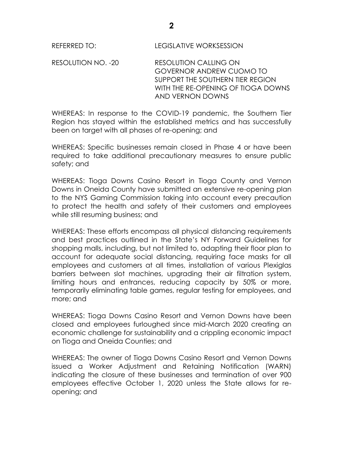RESOLUTION NO. -20 RESOLUTION CALLING ON GOVERNOR ANDREW CUOMO TO SUPPORT THE SOUTHERN TIER REGION WITH THE RE-OPENING OF TIOGA DOWNS AND VERNON DOWNS

WHEREAS: In response to the COVID-19 pandemic, the Southern Tier Region has stayed within the established metrics and has successfully been on target with all phases of re-opening; and

WHEREAS: Specific businesses remain closed in Phase 4 or have been required to take additional precautionary measures to ensure public safety; and

WHEREAS: Tioga Downs Casino Resort in Tioga County and Vernon Downs in Oneida County have submitted an extensive re-opening plan to the NYS Gaming Commission taking into account every precaution to protect the health and safety of their customers and employees while still resuming business; and

WHEREAS: These efforts encompass all physical distancing requirements and best practices outlined in the State's NY Forward Guidelines for shopping malls, including, but not limited to, adapting their floor plan to account for adequate social distancing, requiring face masks for all employees and customers at all times, installation of various Plexiglas barriers between slot machines, upgrading their air filtration system, limiting hours and entrances, reducing capacity by 50% or more, temporarily eliminating table games, regular testing for employees, and more; and

WHEREAS: Tioga Downs Casino Resort and Vernon Downs have been closed and employees furloughed since mid-March 2020 creating an economic challenge for sustainability and a crippling economic impact on Tioga and Oneida Counties; and

WHEREAS: The owner of Tioga Downs Casino Resort and Vernon Downs issued a Worker Adjustment and Retaining Notification (WARN) indicating the closure of these businesses and termination of over 900 employees effective October 1, 2020 unless the State allows for reopening; and